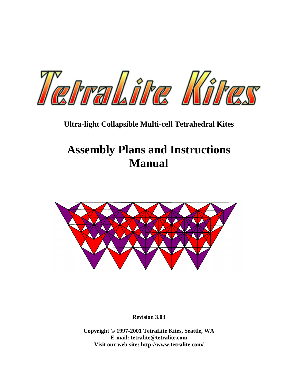

## **Ultra-light Collapsible Multi-cell Tetrahedral Kites**

# **Assembly Plans and Instructions Manual**



**Revision 3.03** 

**Copyright © 1997-2001 TetraLite Kites, Seattle, WA E-mail: tetralite@tetralite.com Visit our web site: http://www.tetralite.com/**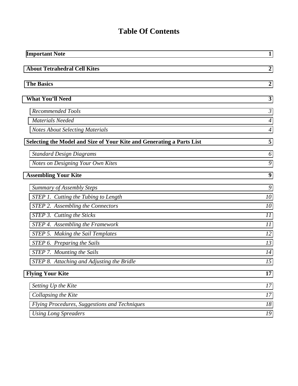## **Table Of Contents**

| <b>Important Note</b>                                                 | $\mathbf{1}$     |  |
|-----------------------------------------------------------------------|------------------|--|
| <b>About Tetrahedral Cell Kites</b>                                   | $\overline{2}$   |  |
| <b>The Basics</b>                                                     | $\boldsymbol{2}$ |  |
| <b>What You'll Need</b>                                               | 3                |  |
| Recommended Tools                                                     | $\mathfrak{Z}$   |  |
| <b>Materials Needed</b>                                               | $\overline{4}$   |  |
| <b>Notes About Selecting Materials</b>                                | $\overline{4}$   |  |
| Selecting the Model and Size of Your Kite and Generating a Parts List | 5                |  |
| <b>Standard Design Diagrams</b>                                       | 6                |  |
| Notes on Designing Your Own Kites                                     | 9                |  |
| <b>Assembling Your Kite</b>                                           | 9                |  |
| <b>Summary of Assembly Steps</b>                                      | 9                |  |
| STEP 1. Cutting the Tubing to Length                                  | 10               |  |
| STEP 2. Assembling the Connectors                                     | 10               |  |
| STEP 3. Cutting the Sticks                                            | 11               |  |
| STEP 4. Assembling the Framework                                      | 11               |  |
| <b>STEP 5. Making the Sail Templates</b>                              | 12               |  |
| STEP 6. Preparing the Sails                                           | 13               |  |
| STEP 7. Mounting the Sails                                            | 14               |  |
| STEP 8. Attaching and Adjusting the Bridle                            | 15               |  |
| <b>Flying Your Kite</b>                                               | 17               |  |
| Setting Up the Kite                                                   | 17               |  |
| Collapsing the Kite                                                   | 17               |  |
| Flying Procedures, Suggestions and Techniques                         | 18               |  |
| <b>Using Long Spreaders</b>                                           | 19               |  |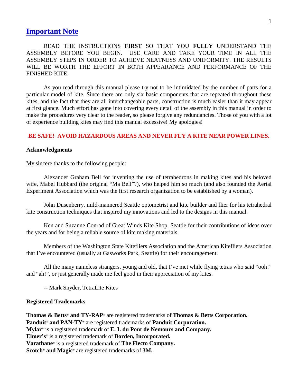## <span id="page-2-0"></span>**Important Note**

 READ THE INSTRUCTIONS **FIRST** SO THAT YOU **FULLY** UNDERSTAND THE ASSEMBLY BEFORE YOU BEGIN. USE CARE AND TAKE YOUR TIME IN ALL THE ASSEMBLY STEPS IN ORDER TO ACHIEVE NEATNESS AND UNIFORMITY. THE RESULTS WILL BE WORTH THE EFFORT IN BOTH APPEARANCE AND PERFORMANCE OF THE FINISHED KITE.

 As you read through this manual please try not to be intimidated by the number of parts for a particular model of kite. Since there are only six basic components that are repeated throughout these kites, and the fact that they are all interchangeable parts, construction is much easier than it may appear at first glance. Much effort has gone into covering every detail of the assembly in this manual in order to make the procedures very clear to the reader, so please forgive any redundancies. Those of you with a lot of experience building kites may find this manual excessive! My apologies!

#### **BE SAFE! AVOID HAZARDOUS AREAS AND NEVER FLY A KITE NEAR POWER LINES.**

#### **Acknowledgments**

My sincere thanks to the following people:

 Alexander Graham Bell for inventing the use of tetrahedrons in making kites and his beloved wife, Mabel Hubbard (the original "Ma Bell"?), who helped him so much (and also founded the Aerial Experiment Association which was the first research organization to be established by a woman).

 John Dusenberry, mild-mannered Seattle optometrist and kite builder and flier for his tetrahedral kite construction techniques that inspired my innovations and led to the designs in this manual.

 Ken and Suzanne Conrad of Great Winds Kite Shop, Seattle for their contributions of ideas over the years and for being a reliable source of kite making materials.

 Members of the Washington State Kitefliers Association and the American Kitefliers Association that I've encountered (usually at Gasworks Park, Seattle) for their encouragement.

 All the many nameless strangers, young and old, that I've met while flying tetras who said "ooh!" and "ah!", or just generally made me feel good in their appreciation of my kites.

-- Mark Snyder, TetraLite Kites

#### **Registered Trademarks**

**Thomas & Betts® and TY-RAP®** are registered trademarks of **Thomas & Betts Corporation. Panduit® and PAN-TY®** are registered trademarks of **Panduit Corporation. Mylar®** is a registered trademark of **E. I. du Pont de Nemours and Company. Elmer's®** is a registered trademark of **Borden, Incorporated. Varathane®** is a registered trademark of **The Flecto Company. Scotch® and Magic®** are registered trademarks of **3M.**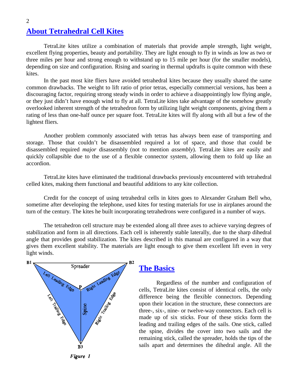## **About Tetrahedral Cell Kites**

 TetraLite kites utilize a combination of materials that provide ample strength, light weight, excellent flying properties, beauty and portability. They are light enough to fly in winds as low as two or three miles per hour and strong enough to withstand up to 15 mile per hour (for the smaller models), depending on size and configuration. Rising and soaring in thermal updrafts is quite common with these kites.

 In the past most kite fliers have avoided tetrahedral kites because they usually shared the same common drawbacks. The weight to lift ratio of prior tetras, especially commercial versions, has been a discouraging factor, requiring strong steady winds in order to achieve a disappointingly low flying angle, or they just didn't have enough wind to fly at all. TetraLite kites take advantage of the somehow greatly overlooked inherent strength of the tetrahedron form by utilizing light weight components, giving them a rating of less than one-half ounce per square foot. TetraLite kites will fly along with all but a few of the lightest fliers.

 Another problem commonly associated with tetras has always been ease of transporting and storage. Those that couldn't be disassembled required a lot of space, and those that could be disassembled required *major* disassembly (not to mention *assembly*). TetraLite kites are easily and quickly collapsible due to the use of a flexible connector system, allowing them to fold up like an accordion.

 TetraLite kites have eliminated the traditional drawbacks previously encountered with tetrahedral celled kites, making them functional and beautiful additions to any kite collection.

 Credit for the concept of using tetrahedral cells in kites goes to Alexander Graham Bell who, sometime after developing the telephone, used kites for testing materials for use in airplanes around the turn of the century. The kites he built incorporating tetrahedrons were configured in a number of ways.

 The tetrahedron cell structure may be extended along all three axes to achieve varying degrees of stabilization and form in all directions. Each cell is inherently stable laterally, due to the sharp dihedral angle that provides good stabilization. The kites described in this manual are configured in a way that gives them excellent stability. The materials are light enough to give them excellent lift even in very light winds.



### **The Basics**

 Regardless of the number and configuration of cells, TetraLite kites consist of identical cells, the only difference being the flexible connectors. Depending upon their location in the structure, these connectors are three-, six-, nine- or twelve-way connectors. Each cell is made up of six sticks. Four of these sticks form the leading and trailing edges of the sails. One stick, called the spine, divides the cover into two sails and the remaining stick, called the spreader, holds the tips of the sails apart and determines the dihedral angle. All the

<span id="page-3-0"></span>2

Figure 1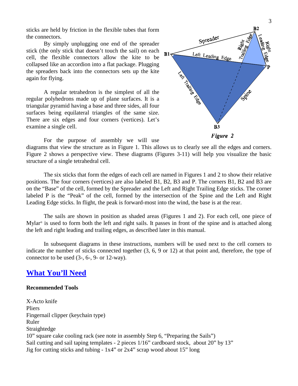<span id="page-4-0"></span>sticks are held by friction in the flexible tubes that form the connectors.

 By simply unplugging one end of the spreader stick (the only stick that doesn't touch the sail) on each cell, the flexible connectors allow the kite to be collapsed like an accordion into a flat package. Plugging the spreaders back into the connectors sets up the kite again for flying.

 A regular tetrahedron is the simplest of all the regular polyhedrons made up of plane surfaces. It is a triangular pyramid having a base and three sides, all four surfaces being equilateral triangles of the same size. There are six edges and four corners (vertices). Let's examine a single cell.



For the purpose of assembly we will use

diagrams that view the structure as in Figure 1. This allows us to clearly see all the edges and corners. Figure 2 shows a perspective view. These diagrams (Figures 3-11) will help you visualize the basic structure of a single tetrahedral cell.

 The six sticks that form the edges of each cell are named in Figures 1 and 2 to show their relative positions. The four corners (vertices) are also labeled B1, B2, B3 and P. The corners B1, B2 and B3 are on the "Base" of the cell, formed by the Spreader and the Left and Right Trailing Edge sticks. The corner labeled P is the "Peak" of the cell, formed by the intersection of the Spine and the Left and Right Leading Edge sticks. In flight, the peak is forward-most into the wind, the base is at the rear.

 The sails are shown in position as shaded areas (Figures 1 and 2). For each cell, one piece of Mylar® is used to form both the left and right sails. It passes in front of the spine and is attached along the left and right leading and trailing edges, as described later in this manual.

 In subsequent diagrams in these instructions, numbers will be used next to the cell corners to indicate the number of sticks connected together (3, 6, 9 or 12) at that point and, therefore, the type of connector to be used (3-, 6-, 9- or 12-way).

## **What You'll Need**

#### **Recommended Tools**

X-Acto knife Pliers Fingernail clipper (keychain type) Ruler Straightedge 10" square cake cooling rack (see note in assembly Step 6, "Preparing the Sails") Sail cutting and sail taping templates - 2 pieces 1/16" cardboard stock, about 20" by 13" Jig for cutting sticks and tubing - 1x4" or 2x4" scrap wood about 15" long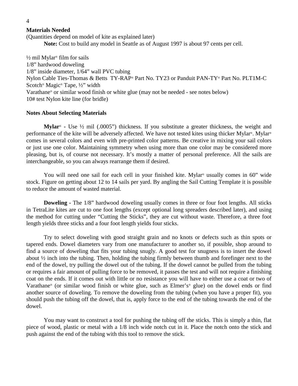#### **Materials Needed**

(Quantities depend on model of kite as explained later) **Note:** Cost to build any model in Seattle as of August 1997 is about 97 cents per cell.

 $\frac{1}{2}$  mil Mylar<sup>®</sup> film for sails 1/8" hardwood doweling 1/8" inside diameter, 1/64" wall PVC tubing Nylon Cable Ties-Thomas & Betts TY-RAP® Part No. TY23 or Panduit PAN-TY® Part No. PLT1M-C Scotch® Magic® Tape, ½" width Varathane® or similar wood finish or white glue (may not be needed - see notes below) 10# test Nylon kite line (for bridle)

#### **Notes About Selecting Materials**

 **Mylar**® **-** Use ½ mil (.0005") thickness. If you substitute a greater thickness, the weight and performance of the kite will be adversely affected. We have not tested kites using thicker Mylar®. Mylar® comes in several colors and even with pre-printed color patterns. Be creative in mixing your sail colors or just use one color. Maintaining symmetry when using more than one color may be considered more pleasing, but is, of course not necessary. It's mostly a matter of personal preference. All the sails are interchangeable, so you can always rearrange them if desired.

You will need one sail for each cell in your finished kite. Mylar<sup>®</sup> usually comes in 60" wide stock. Figure on getting about 12 to 14 sails per yard. By angling the Sail Cutting Template it is possible to reduce the amount of wasted material.

**Doweling -** The 1/8" hardwood doweling usually comes in three or four foot lengths. All sticks in TetraLite kites are cut to one foot lengths (except optional long spreaders described later), and using the method for cutting under "Cutting the Sticks", they are cut without waste. Therefore, a three foot length yields three sticks and a four foot length yields four sticks.

 Try to select doweling with good straight grain and no knots or defects such as thin spots or tapered ends. Dowel diameters vary from one manufacturer to another so, if possible, shop around to find a source of doweling that fits your tubing snugly. A good test for snugness is to insert the dowel about ½ inch into the tubing. Then, holding the tubing firmly between thumb and forefinger next to the end of the dowel, try pulling the dowel out of the tubing. If the dowel cannot be pulled from the tubing or requires a fair amount of pulling force to be removed, it passes the test and will not require a finishing coat on the ends. If it comes out with little or no resistance you will have to either use a coat or two of Varathane® (or similar wood finish or white glue, such as Elmer's® glue) on the dowel ends or find another source of doweling. To remove the doweling from the tubing (when you have a proper fit), you should push the tubing off the dowel, that is, apply force to the end of the tubing towards the end of the dowel.

 You may want to construct a tool for pushing the tubing off the sticks. This is simply a thin, flat piece of wood, plastic or metal with a 1/8 inch wide notch cut in it. Place the notch onto the stick and push against the end of the tubing with this tool to remove the stick.

<span id="page-5-0"></span>4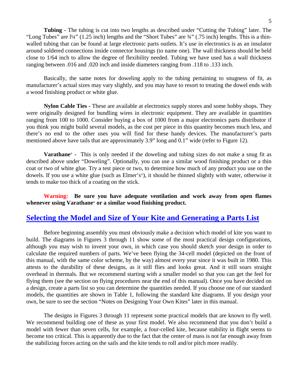<span id="page-6-0"></span> **Tubing -** The tubing is cut into two lengths as described under "Cutting the Tubing" later. The "Long Tubes" are  $\frac{1}{4}$ " (1.25 inch) lengths and the "Short Tubes" are  $\frac{3}{4}$ " (.75 inch) lengths. This is a thinwalled tubing that can be found at large electronic parts outlets. It's use in electronics is as an insulator around soldered connections inside connector housings (to name one). The wall thickness should be held

 Basically, the same notes for doweling apply to the tubing pertaining to snugness of fit, as manufacturer's actual sizes may vary slightly, and you may have to resort to treating the dowel ends with a wood finishing product or white glue.

close to 1/64 inch to allow the degree of flexibility needed. Tubing we have used has a wall thickness

ranging between .016 and .020 inch and inside diameters ranging from .118 to .133 inch.

 **Nylon Cable Ties -** These are available at electronics supply stores and some hobby shops. They were originally designed for bundling wires in electronic equipment. They are available in quantities ranging from 100 to 1000. Consider buying a box of 1000 from a major electronics parts distributor if you think you might build several models, as the cost per piece in this quantity becomes much less, and there's no end to the other uses you will find for these handy devices. The manufacturer's parts mentioned above have tails that are approximately 3.9" long and 0.1" wide (refer to Figure 12).

 **Varathane**® **-** This is only needed if the doweling and tubing sizes do not make a snug fit as described above under "Doweling". Optionally, you can use a similar wood finishing product or a thin coat or two of white glue. Try a test piece or two, to determine how much of any product you use on the dowels. If you use a white glue (such as Elmer's®), it should be thinned slightly with water, otherwise it tends to make too thick of a coating on the stick.

**Warning: Be sure you have adequate ventilation and work away from open flames whenever using Varathane**® **or a similar wood finishing product.**

## **Selecting the Model and Size of Your Kite and Generating a Parts List**

 Before beginning assembly you must obviously make a decision which model of kite you want to build. The diagrams in Figures 3 through 11 show some of the most practical design configurations, although you may wish to invent your own, in which case you should sketch your design in order to calculate the required numbers of parts. We've been flying the 34-cell model (depicted on the front of this manual, with the same color scheme, by the way) almost every year since it was built in 1980. This attests to the durability of these designs, as it still flies and looks great. And it still soars straight overhead in thermals. But we recommend starting with a smaller model so that you can get the feel for flying them (see the section on flying procedures near the end of this manual). Once you have decided on a design, create a parts list so you can determine the quantities needed. If you choose one of our standard models, the quantities are shown in Table 1, following the standard kite diagrams. If you design your own, be sure to see the section "Notes on Designing Your Own Kites" later in this manual.

 The designs in Figures 3 through 11 represent some practical models that are known to fly well. We recommend building one of these as your first model. We also recommend that you don't build a model with fewer than seven cells, for example, a four-celled kite, because stability in flight seems to become too critical. This is apparently due to the fact that the center of mass is not far enough away from the stabilizing forces acting on the sails and the kite tends to roll and/or pitch more readily.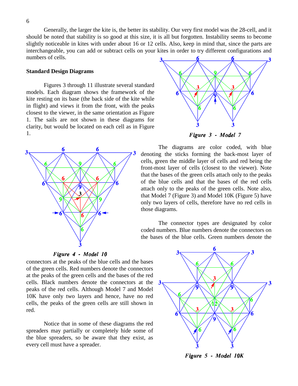<span id="page-7-0"></span> Generally, the larger the kite is, the better its stability. Our very first model was the 28-cell, and it should be noted that stability is so good at this size, it is all but forgotten. Instability seems to become slightly noticeable in kites with under about 16 or 12 cells. Also, keep in mind that, since the parts are interchangeable, you can add or subtract cells on your kites in order to try different configurations and numbers of cells.

#### **Standard Design Diagrams**

 Figures 3 through 11 illustrate several standard models. Each diagram shows the framework of the kite resting on its base (the back side of the kite while in flight) and views it from the front, with the peaks closest to the viewer, in the same orientation as Figure 1. The sails are not shown in these diagrams for clarity, but would be located on each cell as in Figure 1.



Figure 4 - Model 10

connectors at the peaks of the blue cells and the bases of the green cells. Red numbers denote the connectors at the peaks of the green cells and the bases of the red cells. Black numbers denote the connectors at the peaks of the red cells. Although Model 7 and Model 10K have only two layers and hence, have no red cells, the peaks of the green cells are still shown in red.

 Notice that in some of these diagrams the red spreaders may partially or completely hide some of the blue spreaders, so be aware that they exist, as every cell must have a spreader.



Figure 3 - Model 7

 The diagrams are color coded, with blue denoting the sticks forming the back-most layer of cells, green the middle layer of cells and red being the front-most layer of cells (closest to the viewer). Note that the bases of the green cells attach only to the peaks of the blue cells and that the bases of the red cells attach only to the peaks of the green cells. Note also, that Model 7 (Figure 3) and Model 10K (Figure 5) have only two layers of cells, therefore have no red cells in those diagrams.

 The connector types are designated by color coded numbers. Blue numbers denote the connectors on the bases of the blue cells. Green numbers denote the



Figure 5 - Model 10K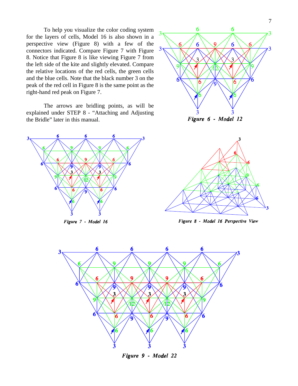To help you visualize the color coding system for the layers of cells, Model 16 is also shown in a perspective view (Figure 8) with a few of the connectors indicated. Compare Figure 7 with Figure 8. Notice that Figure 8 is like viewing Figure 7 from the left side of the kite and slightly elevated. Compare the relative locations of the red cells, the green cells and the blue cells. Note that the black number 3 on the peak of the red cell in Figure 8 is the same point as the right-hand red peak on Figure 7.

 The arrows are bridling points, as will be explained under STEP 8 - "Attaching and Adjusting the Bridle" later in this manual.



Figure 7 - Model 16



Figure 6 - Model 12



Figure 8 - Model 16 Perspective View



Figure 9 - Model 22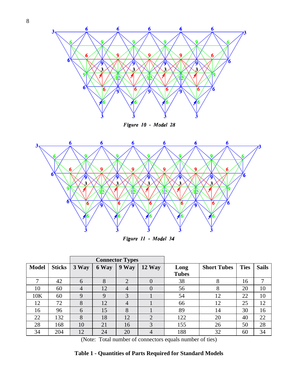



Figure 10 - Model 28



Figure 11 - Model 34

|              |               | <b>Connector Types</b> |       |                |                |              |                    |             |              |
|--------------|---------------|------------------------|-------|----------------|----------------|--------------|--------------------|-------------|--------------|
| <b>Model</b> | <b>Sticks</b> | 3 Way                  | 6 Way | 9 Way          | $12$ Way       | Long         | <b>Short Tubes</b> | <b>Ties</b> | <b>Sails</b> |
|              |               |                        |       |                |                | <b>Tubes</b> |                    |             |              |
| 7            | 42            | 6                      | 8     | $\overline{2}$ | $\overline{0}$ | 38           | 8                  | 16          |              |
| 10           | 60            | $\overline{4}$         | 12    | $\overline{4}$ | 0              | 56           | 8                  | 20          | 10           |
| 10K          | 60            | 9                      | 9     | 3              |                | 54           | 12                 | 22          | 10           |
| 12           | 72            | 8                      | 12    | $\overline{4}$ |                | 66           | 12                 | 25          | 12           |
| 16           | 96            | 6                      | 15    | 8              |                | 89           | 14                 | 30          | 16           |
| 22           | 132           | 8                      | 18    | 12             | 2              | 122          | 20                 | 40          | 22           |
| 28           | 168           | 10                     | 21    | 16             | 3              | 155          | 26                 | 50          | 28           |
| 34           | 204           | 12                     | 24    | 20             | 4              | 188          | 32                 | 60          | 34           |

(Note: Total number of connectors equals number of ties)

### **Table 1 - Quantities of Parts Required for Standard Models**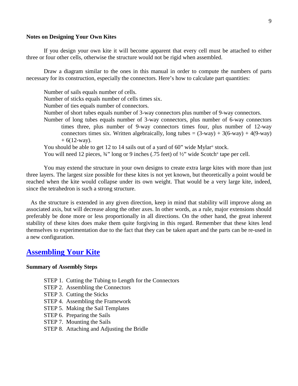#### <span id="page-10-0"></span>**Notes on Designing Your Own Kites**

 If you design your own kite it will become apparent that every cell must be attached to either three or four other cells, otherwise the structure would not be rigid when assembled.

 Draw a diagram similar to the ones in this manual in order to compute the numbers of parts necessary for its construction, especially the connectors. Here's how to calculate part quantities:

Number of sails equals number of cells. Number of sticks equals number of cells times six. Number of ties equals number of connectors. Number of short tubes equals number of 3-way connectors plus number of 9-way connectors. Number of long tubes equals number of 3-way connectors, plus number of 6-way connectors times three, plus number of 9-way connectors times four, plus number of 12-way connectors times six. Written algebraically, long tubes =  $(3$ -way) + 3(6-way) + 4(9-way)  $+ 6(12$ -way). You should be able to get 12 to 14 sails out of a yard of 60" wide Mylar<sup>®</sup> stock. You will need 12 pieces,  $\frac{3}{4}$ " long or 9 inches (.75 feet) of  $\frac{1}{2}$ " wide Scotch® tape per cell.

 You may extend the structure in your own designs to create extra large kites with more than just three layers. The largest size possible for these kites is not yet known, but theoretically a point would be reached when the kite would collapse under its own weight. That would be a very large kite, indeed, since the tetrahedron is such a strong structure.

 As the structure is extended in any given direction, keep in mind that stability will improve along an associated axis, but will decrease along the other axes. In other words, as a rule, major extensions should preferably be done more or less proportionally in all directions. On the other hand, the great inherent stability of these kites does make them quite forgiving in this regard. Remember that these kites lend themselves to experimentation due to the fact that they can be taken apart and the parts can be re-used in a new configuration.

### **Assembling Your Kite**

#### **Summary of Assembly Steps**

- STEP 1. Cutting the Tubing to Length for the Connectors
- STEP 2. Assembling the Connectors
- STEP 3. Cutting the Sticks
- STEP 4. Assembling the Framework
- STEP 5. Making the Sail Templates
- STEP 6. Preparing the Sails
- STEP 7. Mounting the Sails
- STEP 8. Attaching and Adjusting the Bridle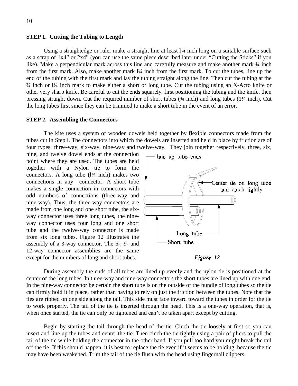#### <span id="page-11-0"></span>**STEP 1. Cutting the Tubing to Length**

Using a straightedge or ruler make a straight line at least  $1/4$  inch long on a suitable surface such as a scrap of 1x4" or 2x4" (you can use the same piece described later under "Cutting the Sticks" if you like). Make a perpendicular mark across this line and carefully measure and make another mark  $\frac{3}{4}$  inch from the first mark. Also, make another mark  $1/4$  inch from the first mark. To cut the tubes, line up the end of the tubing with the first mark and lay the tubing straight along the line. Then cut the tubing at the ¾ inch or l¼ inch mark to make either a short or long tube. Cut the tubing using an X-Acto knife or other very sharp knife. Be careful to cut the ends squarely, first positioning the tubing and the knife, then pressing straight down. Cut the required number of short tubes  $(34 \text{ inch})$  and long tubes  $(1\frac{1}{4} \text{ inch})$ . Cut the long tubes first since they can be trimmed to make a short tube in the event of an error.

#### **STEP 2. Assembling the Connectors**

 The kite uses a system of wooden dowels held together by flexible connectors made from the tubes cut in Step l. The connectors into which the dowels are inserted and held in place by friction are of four types: three-way, six-way, nine-way and twelve-way. They join together respectively, three, six,

nine, and twelve dowel ends at the connection point where they are used. The tubes are held together with a Nylon tie to form the connectors. A long tube  $(1/4$  inch) makes two connections in any connector. A short tube makes a single connection in connectors with odd numbers of connections (three-way and nine-way). Thus, the three-way connectors are made from one long and one short tube, the sixway connector uses three long tubes, the nineway connector uses four long and one short tube and the twelve-way connector is made from six long tubes. Figure 12 illustrates the assembly of a 3-way connector. The 6-, 9- and 12-way connector assemblies are the same except for the numbers of long and short tubes.



Figure 12

 During assembly the ends of all tubes are lined up evenly and the nylon tie is positioned at the center of the long tubes. In three-way and nine-way connectors the short tubes are lined up with one end. In the nine-way connector be certain the short tube is on the outside of the bundle of long tubes so the tie can firmly hold it in place, rather than having to rely on just the friction between the tubes. Note that the ties are ribbed on one side along the tail. This side must face inward toward the tubes in order for the tie to work properly. The tail of the tie is inserted through the head. This is a one-way operation, that is, when once started, the tie can only be tightened and can't be taken apart except by cutting.

 Begin by starting the tail through the head of the tie. Cinch the tie loosely at first so you can insert and line up the tubes and center the tie. Then cinch the tie tightly using a pair of pliers to pull the tail of the tie while holding the connector in the other hand. If you pull too hard you might break the tail off the tie. If this should happen, it is best to replace the tie even if it seems to be holding, because the tie may have been weakened. Trim the tail of the tie flush with the head using fingernail clippers.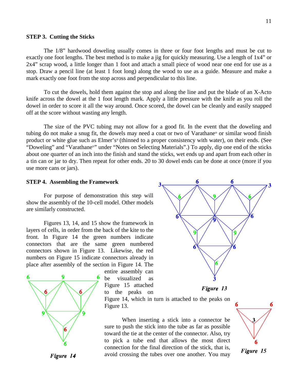#### <span id="page-12-0"></span>**STEP 3. Cutting the Sticks**

 The 1/8" hardwood doweling usually comes in three or four foot lengths and must be cut to exactly one foot lengths. The best method is to make a jig for quickly measuring. Use a length of 1x4" or 2x4" scrap wood, a little longer than 1 foot and attach a small piece of wood near one end for use as a stop. Draw a pencil line (at least 1 foot long) along the wood to use as a guide. Measure and make a mark exactly one foot from the stop across and perpendicular to this line.

 To cut the dowels, hold them against the stop and along the line and put the blade of an X-Acto knife across the dowel at the 1 foot length mark. Apply a little pressure with the knife as you roll the dowel in order to score it all the way around. Once scored, the dowel can be cleanly and easily snapped off at the score without wasting any length.

 The size of the PVC tubing may not allow for a good fit. In the event that the doweling and tubing do not make a snug fit, the dowels may need a coat or two of Varathane® or similar wood finish product or white glue such as Elmer's® (thinned to a proper consistency with water), on their ends. (See "Doweling" and "Varathane®" under "Notes on Selecting Materials".) To apply, dip one end of the sticks about one quarter of an inch into the finish and stand the sticks, wet ends up and apart from each other in a tin can or jar to dry. Then repeat for other ends. 20 to 30 dowel ends can be done at once (more if you use more cans or jars).

3

#### **STEP 4. Assembling the Framework**

 For purpose of demonstration this step will show the assembly of the 10-cell model. Other models are similarly constructed.

 Figures 13, 14, and 15 show the framework in layers of cells, in order from the back of the kite to the front. In Figure 14 the green numbers indicate connectors that are the same green numbered connectors shown in Figure 13. Likewise, the red numbers on Figure 15 indicate connectors already in place after assembly of the section in Figure 14. The



entire assembly can be visualized as Figure 15 attached to the peaks on



Figure 13

Figure 14, which in turn is attached to the peaks on Figure 13.

 When inserting a stick into a connector be sure to push the stick into the tube as far as possible toward the tie at the center of the connector. Also, try to pick a tube end that allows the most direct connection for the final direction of the stick, that is, avoid crossing the tubes over one another. You may



Figure 14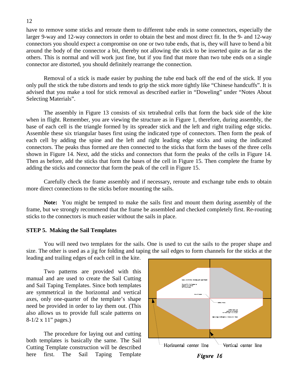have to remove some sticks and reroute them to different tube ends in some connectors, especially the larger 9-way and 12-way connectors in order to obtain the best and most direct fit. In the 9- and 12-way connectors you should expect a compromise on one or two tube ends, that is, they will have to bend a bit around the body of the connector a bit, thereby not allowing the stick to be inserted quite as far as the others. This is normal and will work just fine, but if you find that more than two tube ends on a single connector are distorted, you should definitely rearrange the connection.

 Removal of a stick is made easier by pushing the tube end back off the end of the stick. If you only pull the stick the tube distorts and tends to grip the stick more tightly like "Chinese handcuffs". It is advised that you make a tool for stick removal as described earlier in "Doweling" under "Notes About Selecting Materials".

 The assembly in Figure 13 consists of six tetrahedral cells that form the back side of the kite when in flight. Remember, you are viewing the structure as in Figure 1, therefore, during assembly, the base of each cell is the triangle formed by its spreader stick and the left and right trailing edge sticks. Assemble these six triangular bases first using the indicated type of connectors. Then form the peak of each cell by adding the spine and the left and right leading edge sticks and using the indicated connectors. The peaks thus formed are then connected to the sticks that form the bases of the three cells shown in Figure 14. Next, add the sticks and connectors that form the peaks of the cells in Figure 14. Then as before, add the sticks that form the bases of the cell in Figure 15. Then complete the frame by adding the sticks and connector that form the peak of the cell in Figure 15.

 Carefully check the frame assembly and if necessary, reroute and exchange tube ends to obtain more direct connections to the sticks before mounting the sails.

 **Note:** You might be tempted to make the sails first and mount them during assembly of the frame, but we strongly recommend that the frame be assembled and checked completely first. Re-routing sticks to the connectors is much easier without the sails in place.

#### **STEP 5. Making the Sail Templates**

 You will need two templates for the sails. One is used to cut the sails to the proper shape and size. The other is used as a jig for folding and taping the sail edges to form channels for the sticks at the leading and trailing edges of each cell in the kite.

 Two patterns are provided with this manual and are used to create the Sail Cutting and Sail Taping Templates. Since both templates are symmetrical in the horizontal and vertical axes, only one-quarter of the template's shape need be provided in order to lay them out. (This also allows us to provide full scale patterns on 8-1/2 x 11" pages.)

 The procedure for laying out and cutting both templates is basically the same. The Sail Cutting Template construction will be described here first. The Sail Taping Template



#### <span id="page-13-0"></span>12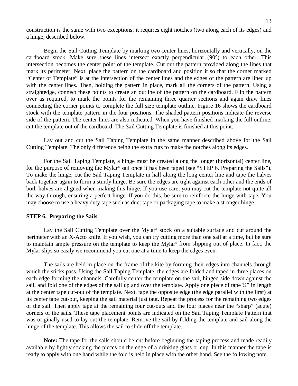<span id="page-14-0"></span>construction is the same with two exceptions; it requires eight notches (two along each of its edges) and a hinge, described below.

 Begin the Sail Cutting Template by marking two center lines, horizontally and vertically, on the cardboard stock. Make sure these lines intersect exactly perpendicular (90°) to each other. This intersection becomes the center point of the template. Cut out the pattern provided along the lines that mark its perimeter. Next, place the pattern on the cardboard and position it so that the corner marked "Center of Template" is at the intersection of the center lines and the edges of the pattern are lined up with the center lines. Then, holding the pattern in place, mark all the corners of the pattern. Using a straightedge, connect these points to create an outline of the pattern on the cardboard. Flip the pattern over as required, to mark the points for the remaining three quarter sections and again draw lines connecting the corner points to complete the full size template outline. Figure 16 shows the cardboard stock with the template pattern in the four positions. The shaded pattern positions indicate the reverse side of the pattern. The center lines are also indicated. When you have finished marking the full outline, cut the template out of the cardboard. The Sail Cutting Template is finished at this point.

 Lay out and cut the Sail Taping Template in the same manner described above for the Sail Cutting Template. The only difference being the extra cuts to make the notches along its edges.

 For the Sail Taping Template, a hinge must be created along the longer (horizontal) center line, for the purpose of removing the Mylar® sail once it has been taped (see "STEP 6. Preparing the Sails"). To make the hinge, cut the Sail Taping Template in half along the long center line and tape the halves back together again to form a sturdy hinge. Be sure the edges are tight against each other and the ends of both halves are aligned when making this hinge. If you use care, you may cut the template not quite all the way through, ensuring a perfect hinge. If you do this, be sure to reinforce the hinge with tape. You may choose to use a heavy duty tape such as duct tape or packaging tape to make a stronger hinge.

#### **STEP 6. Preparing the Sails**

 Lay the Sail Cutting Template over the Mylar® stock on a suitable surface and cut around the perimeter with an X-Acto knife. If you wish, you can try cutting more than one sail at a time, but be sure to maintain ample pressure on the template to keep the Mylar® from slipping out of place. In fact, the Mylar slips so easily we recommend you cut one at a time to keep the edges even.

 The sails are held in place on the frame of the kite by forming their edges into channels through which the sticks pass. Using the Sail Taping Template, the edges are folded and taped in three places on each edge forming the channels. Carefully center the template on the sail, hinged side down against the sail, and fold one of the edges of the sail up and over the template. Apply one piece of tape  $\frac{3}{4}$ " in length at the center tape cut-out of the template. Next, tape the opposite edge (the edge parallel with the first) at its center tape cut-out, keeping the sail material just taut. Repeat the process for the remaining two edges of the sail. Then apply tape at the remaining four cut-outs and the four places near the "sharp" (acute) corners of the sails. These tape placement points are indicated on the Sail Taping Template Pattern that was originally used to lay out the template. Remove the sail by folding the template and sail along the hinge of the template. This allows the sail to slide off the template.

 **Note:** The tape for the sails should be cut before beginning the taping process and made readily available by lightly sticking the pieces on the edge of a drinking glass or cup. In this manner the tape is ready to apply with one hand while the fold is held in place with the other hand. See the following note.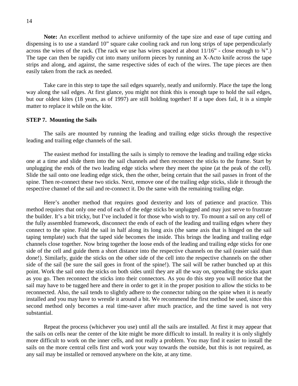<span id="page-15-0"></span> **Note:** An excellent method to achieve uniformity of the tape size and ease of tape cutting and dispensing is to use a standard 10" square cake cooling rack and run long strips of tape perpendicularly across the wires of the rack. (The rack we use has wires spaced at about  $11/16"$  - close enough to  $\frac{3}{4}$ ".) The tape can then be rapidly cut into many uniform pieces by running an X-Acto knife across the tape strips and along, and against, the same respective sides of each of the wires. The tape pieces are then easily taken from the rack as needed.

 Take care in this step to tape the sail edges squarely, neatly and uniformly. Place the tape the long way along the sail edges. At first glance, you might not think this is enough tape to hold the sail edges, but our oldest kites (18 years, as of 1997) are still holding together! If a tape does fail, it is a simple matter to replace it while on the kite.

#### **STEP 7. Mounting the Sails**

 The sails are mounted by running the leading and trailing edge sticks through the respective leading and trailing edge channels of the sail.

 The easiest method for installing the sails is simply to remove the leading and trailing edge sticks one at a time and slide them into the sail channels and then reconnect the sticks to the frame. Start by unplugging the ends of the two leading edge sticks where they meet the spine (at the peak of the cell). Slide the sail onto one leading edge stick, then the other, being certain that the sail passes in front of the spine. Then re-connect these two sticks. Next, remove one of the trailing edge sticks, slide it through the respective channel of the sail and re-connect it. Do the same with the remaining trailing edge.

 Here's another method that requires good dexterity and lots of patience and practice. This method requires that only one end of each of the edge sticks be unplugged and may just serve to frustrate the builder. It's a bit tricky, but I've included it for those who wish to try. To mount a sail on any cell of the fully assembled framework, disconnect the ends of each of the leading and trailing edges where they connect to the spine. Fold the sail in half along its long axis (the same axis that is hinged on the sail taping template) such that the taped side becomes the inside. This brings the leading and trailing edge channels close together. Now bring together the loose ends of the leading and trailing edge sticks for one side of the cell and guide them a short distance into the respective channels on the sail (easier said than done!). Similarly, guide the sticks on the other side of the cell into the respective channels on the other side of the sail (be sure the sail goes in front of the spine!). The sail will be rather bunched up at this point. Work the sail onto the sticks on both sides until they are all the way on, spreading the sticks apart as you go. Then reconnect the sticks into their connectors. As you do this step you will notice that the sail may have to be tugged here and there in order to get it in the proper position to allow the sticks to be reconnected. Also, the sail tends to slightly adhere to the connector tubing on the spine when it is nearly installed and you may have to wrestle it around a bit. We recommend the first method be used, since this second method only becomes a real time-saver after much practice, and the time saved is not very substantial.

 Repeat the process (whichever you use) until all the sails are installed. At first it may appear that the sails on cells near the center of the kite might be more difficult to install. In reality it is only slightly more difficult to work on the inner cells, and not really a problem. You may find it easier to install the sails on the more central cells first and work your way towards the outside, but this is not required, as any sail may be installed or removed anywhere on the kite, at any time.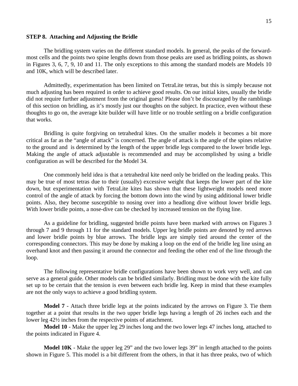#### <span id="page-16-0"></span>**STEP 8. Attaching and Adjusting the Bridle**

 The bridling system varies on the different standard models. In general, the peaks of the forwardmost cells and the points two spine lengths down from those peaks are used as bridling points, as shown in Figures 3, 6, 7, 9, 10 and 11. The only exceptions to this among the standard models are Models 10 and 10K, which will be described later.

 Admittedly, experimentation has been limited on TetraLite tetras, but this is simply because not much adjusting has been required in order to achieve good results. On our initial kites, usually the bridle did not require further adjustment from the original guess! Please don't be discouraged by the ramblings of this section on bridling, as it's mostly just our thoughts on the subject. In practice, even without these thoughts to go on, the average kite builder will have little or no trouble settling on a bridle configuration that works.

 Bridling is quite forgiving on tetrahedral kites. On the smaller models it becomes a bit more critical as far as the "angle of attack" is concerned. The angle of attack is the angle of the spines relative to the ground and is determined by the length of the upper bridle legs compared to the lower bridle legs. Making the angle of attack adjustable is recommended and may be accomplished by using a bridle configuration as will be described for the Model 34.

 One commonly held idea is that a tetrahedral kite need only be bridled on the leading peaks. This may be true of most tetras due to their (usually) excessive weight that keeps the lower part of the kite down, but experimentation with TetraLite kites has shown that these lightweight models need more control of the angle of attack by forcing the bottom down into the wind by using additional lower bridle points. Also, they become susceptible to nosing over into a headlong dive without lower bridle legs. With lower bridle points, a nose-dive can be checked by increased tension on the flying line.

 As a guideline for bridling, suggested bridle points have been marked with arrows on Figures 3 through 7 and 9 through 11 for the standard models. Upper leg bridle points are denoted by red arrows and lower bridle points by blue arrows. The bridle legs are simply tied around the center of the corresponding connectors. This may be done by making a loop on the end of the bridle leg line using an overhand knot and then passing it around the connector and feeding the other end of the line through the loop.

 The following representative bridle configurations have been shown to work very well, and can serve as a general guide. Other models can be bridled similarly. Bridling must be done with the kite fully set up to be certain that the tension is even between each bridle leg. Keep in mind that these examples are not the only ways to achieve a good bridling system.

**Model 7** - Attach three bridle legs at the points indicated by the arrows on Figure 3. Tie them together at a point that results in the two upper bridle legs having a length of 26 inches each and the lower leg 42½ inches from the respective points of attachment.

**Model 10** - Make the upper leg 29 inches long and the two lower legs 47 inches long, attached to the points indicated in Figure 4.

**Model 10K** - Make the upper leg 29" and the two lower legs 39" in length attached to the points shown in Figure 5. This model is a bit different from the others, in that it has three peaks, two of which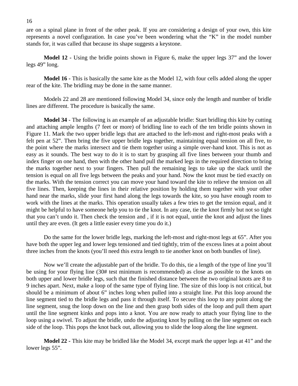are on a spinal plane in front of the other peak. If you are considering a design of your own, this kite represents a novel configuration. In case you've been wondering what the "K" in the model number stands for, it was called that because its shape suggests a keystone.

**Model 12 -** Using the bridle points shown in Figure 6, make the upper legs 37" and the lower legs 49" long.

**Model 16 -** This is basically the same kite as the Model 12, with four cells added along the upper rear of the kite. The bridling may be done in the same manner.

 Models 22 and 28 are mentioned following Model 34, since only the length and number of bridle lines are different. The procedure is basically the same.

**Model 34** - The following is an example of an adjustable bridle: Start bridling this kite by cutting and attaching ample lengths (7 feet or more) of bridling line to each of the ten bridle points shown in Figure 11. Mark the two upper bridle legs that are attached to the left-most and right-most peaks with a felt pen at 52". Then bring the five upper bridle legs together, maintaining equal tension on all five, to the point where the marks intersect and tie them together using a simple over-hand knot. This is not as easy as it sounds. The best way to do it is to start by grasping all five lines between your thumb and index finger on one hand, then with the other hand pull the marked legs in the required direction to bring the marks together next to your fingers. Then pull the remaining legs to take up the slack until the tension is equal on all five legs between the peaks and your hand. Now the knot must be tied exactly on the marks. With the tension correct you can move your hand toward the kite to relieve the tension on all five lines. Then, keeping the lines in their relative position by holding them together with your other hand near the marks, slide your first hand along the legs towards the kite, so you have enough room to work with the lines at the marks. This operation usually takes a few tries to get the tension equal, and it might be helpful to have someone help you to tie the knot. In any case, tie the knot firmly but not so tight that you can't undo it. Then check the tension and , if it is not equal, untie the knot and adjust the lines until they are even. (It gets a little easier every time you do it.)

 Do the same for the lower bridle legs, marking the left-most and right-most legs at 65". After you have both the upper leg and lower legs tensioned and tied tightly, trim of the excess lines at a point about three inches from the knots (you'll need this extra length to tie another knot on both bundles of line).

 Now we'll create the adjustable part of the bridle. To do this, tie a length of the type of line you'll be using for your flying line (30# test minimum is recommended) as close as possible to the knots on both upper and lower bridle legs, such that the finished distance between the two original knots are 8 to 9 inches apart. Next, make a loop of the same type of flying line. The size of this loop is not critical, but should be a minimum of about 6" inches long when pulled into a straight line. Put this loop around the line segment tied to the bridle legs and pass it through itself. To secure this loop to any point along the line segment, snug the loop down on the line and then grasp both sides of the loop and pull them apart until the line segment kinks and pops into a knot. You are now ready to attach your flying line to the loop using a swivel. To adjust the bridle, undo the adjusting knot by pulling on the line segment on each side of the loop. This pops the knot back out, allowing you to slide the loop along the line segment.

**Model 22 -** This kite may be bridled like the Model 34, except mark the upper legs at 41" and the lower legs 55".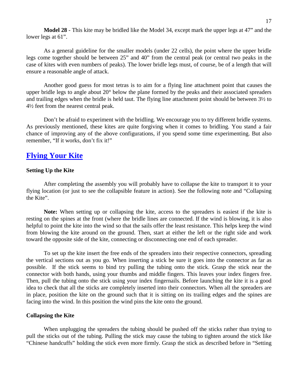<span id="page-18-0"></span> **Model 28** - This kite may be bridled like the Model 34, except mark the upper legs at 47" and the lower legs at 61".

 As a general guideline for the smaller models (under 22 cells), the point where the upper bridle legs come together should be between 25" and 40" from the central peak (or central two peaks in the case of kites with even numbers of peaks). The lower bridle legs must, of course, be of a length that will ensure a reasonable angle of attack.

 Another good guess for most tetras is to aim for a flying line attachment point that causes the upper bridle legs to angle about 20° below the plane formed by the peaks and their associated spreaders and trailing edges when the bridle is held taut. The flying line attachment point should be between 3½ to 4½ feet from the nearest central peak.

 Don't be afraid to experiment with the bridling. We encourage you to try different bridle systems. As previously mentioned, these kites are quite forgiving when it comes to bridling. You stand a fair chance of improving any of the above configurations, if you spend some time experimenting. But also remember, "If it works, don't fix it!"

## **Flying Your Kite**

#### **Setting Up the Kite**

 After completing the assembly you will probably have to collapse the kite to transport it to your flying location (or just to see the collapsible feature in action). See the following note and "Collapsing the Kite".

 **Note:** When setting up or collapsing the kite, access to the spreaders is easiest if the kite is resting on the spines at the front (where the bridle lines are connected. If the wind is blowing, it is also helpful to point the kite into the wind so that the sails offer the least resistance. This helps keep the wind from blowing the kite around on the ground. Then, start at either the left or the right side and work toward the opposite side of the kite, connecting or disconnecting one end of each spreader.

 To set up the kite insert the free ends of the spreaders into their respective connectors, spreading the vertical sections out as you go. When inserting a stick be sure it goes into the connector as far as possible. If the stick seems to bind try pulling the tubing onto the stick. Grasp the stick near the connector with both hands, using your thumbs and middle fingers. This leaves your index fingers free. Then, pull the tubing onto the stick using your index fingernails. Before launching the kite it is a good idea to check that all the sticks are completely inserted into their connectors. When all the spreaders are in place, position the kite on the ground such that it is sitting on its trailing edges and the spines are facing into the wind. In this position the wind pins the kite onto the ground.

#### **Collapsing the Kite**

 When unplugging the spreaders the tubing should be pushed off the sticks rather than trying to pull the sticks out of the tubing. Pulling the stick may cause the tubing to tighten around the stick like "Chinese handcuffs" holding the stick even more firmly. Grasp the stick as described before in "Setting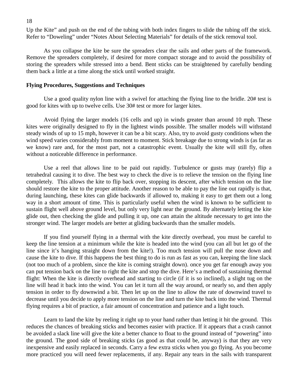<span id="page-19-0"></span>Up the Kite" and push on the end of the tubing with both index fingers to slide the tubing off the stick. Refer to "Doweling" under "Notes About Selecting Materials" for details of the stick removal tool.

 As you collapse the kite be sure the spreaders clear the sails and other parts of the framework. Remove the spreaders completely, if desired for more compact storage and to avoid the possibility of storing the spreaders while stressed into a bend. Bent sticks can be straightened by carefully bending them back a little at a time along the stick until worked straight.

#### **Flying Procedures, Suggestions and Techniques**

Use a good quality nylon line with a swivel for attaching the flying line to the bridle. 20# test is good for kites with up to twelve cells. Use 30# test or more for larger kites.

 Avoid flying the larger models (16 cells and up) in winds greater than around 10 mph. These kites were originally designed to fly in the lightest winds possible. The smaller models will withstand steady winds of up to 15 mph, however it can be a bit scary. Also, try to avoid gusty conditions when the wind speed varies considerably from moment to moment. Stick breakage due to strong winds is (as far as we know) rare and, for the most part, not a catastrophic event. Usually the kite will still fly, often without a noticeable difference in performance.

 Use a reel that allows line to be paid out rapidly. Turbulence or gusts may (rarely) flip a tetrahedral causing it to dive. The best way to check the dive is to relieve the tension on the flying line completely*.* This allows the kite to flip back over, stopping its descent, after which tension on the line should restore the kite to the proper attitude. Another reason to be able to pay the line out rapidly is that, during launching, these kites can glide backwards if allowed to, making it easy to get them out a long way in a short amount of time. This is particularly useful when the wind is known to be sufficient to sustain flight well above ground level, but only very light near the ground. By alternately letting the kite glide out, then checking the glide and pulling it up, one can attain the altitude necessary to get into the stronger wind. The larger models are better at gliding backwards than the smaller models.

 If you find yourself flying in a thermal with the kite directly overhead, you must be careful to keep the line tension at a minimum while the kite is headed into the wind (you can all but let go of the line since it's hanging straight down from the kite!). Too much tension will pull the nose down and cause the kite to dive. If this happens the best thing to do is run as fast as you can, keeping the line slack (not too much of a problem, since the kite is coming straight down). once you get far enough away you can put tension back on the line to right the kite and stop the dive. Here's a method of sustaining thermal flight: When the kite is directly overhead and starting to circle (if it is so inclined), a slight tug on the line will head it back into the wind. You can let it turn all the way around, or nearly so, and then apply tension in order to fly downwind a bit. Then let up on the line to allow the rate of downwind travel to decrease until you decide to apply more tension on the line and turn the kite back into the wind. Thermal flying requires a bit of practice, a fair amount of concentration and patience and a light touch.

 Learn to land the kite by reeling it right up to your hand rather than letting it hit the ground. This reduces the chances of breaking sticks and becomes easier with practice. If it appears that a crash cannot be avoided a slack line will give the kite a better chance to float to the ground instead of "powering" into the ground. The good side of breaking sticks (as good as that could be, anyway) is that they are very inexpensive and easily replaced in seconds. Carry a few extra sticks when you go flying. As you become more practiced you will need fewer replacements, if any. Repair any tears in the sails with transparent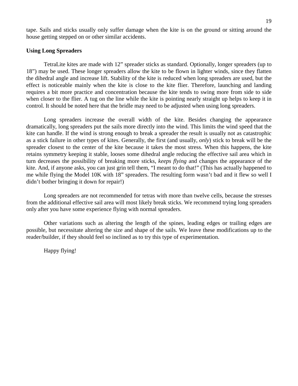<span id="page-20-0"></span>tape. Sails and sticks usually only suffer damage when the kite is on the ground or sitting around the house getting stepped on or other similar accidents.

#### **Using Long Spreaders**

 TetraLite kites are made with 12" spreader sticks as standard. Optionally, longer spreaders (up to 18") may be used. These longer spreaders allow the kite to be flown in lighter winds, since they flatten the dihedral angle and increase lift. Stability of the kite is reduced when long spreaders are used, but the effect is noticeable mainly when the kite is close to the kite flier. Therefore, launching and landing requires a bit more practice and concentration because the kite tends to swing more from side to side when closer to the flier. A tug on the line while the kite is pointing nearly straight up helps to keep it in control. It should be noted here that the bridle may need to be adjusted when using long spreaders.

 Long spreaders increase the overall width of the kite. Besides changing the appearance dramatically, long spreaders put the sails more directly into the wind. This limits the wind speed that the kite can handle. If the wind is strong enough to break a spreader the result is usually not as catastrophic as a stick failure in other types of kites. Generally, the first (and usually, *only*) stick to break will be the spreader closest to the center of the kite because it takes the most stress. When this happens, the kite retains symmetry keeping it stable, looses some dihedral angle reducing the effective sail area which in turn decreases the possibility of breaking more sticks, *keeps flying* and changes the appearance of the kite. And, if anyone asks, you can just grin tell them, "I meant to do that!" (This has actually happened to me while flying the Model 10K with 18" spreaders. The resulting form wasn't bad and it flew so well I didn't bother bringing it down for repair!)

 Long spreaders are not recommended for tetras with more than twelve cells, because the stresses from the additional effective sail area will most likely break sticks. We recommend trying long spreaders only after you have some experience flying with normal spreaders.

 Other variations such as altering the length of the spines, leading edges or trailing edges are possible, but necessitate altering the size and shape of the sails. We leave these modifications up to the reader/builder, if they should feel so inclined as to try this type of experimentation.

Happy flying!